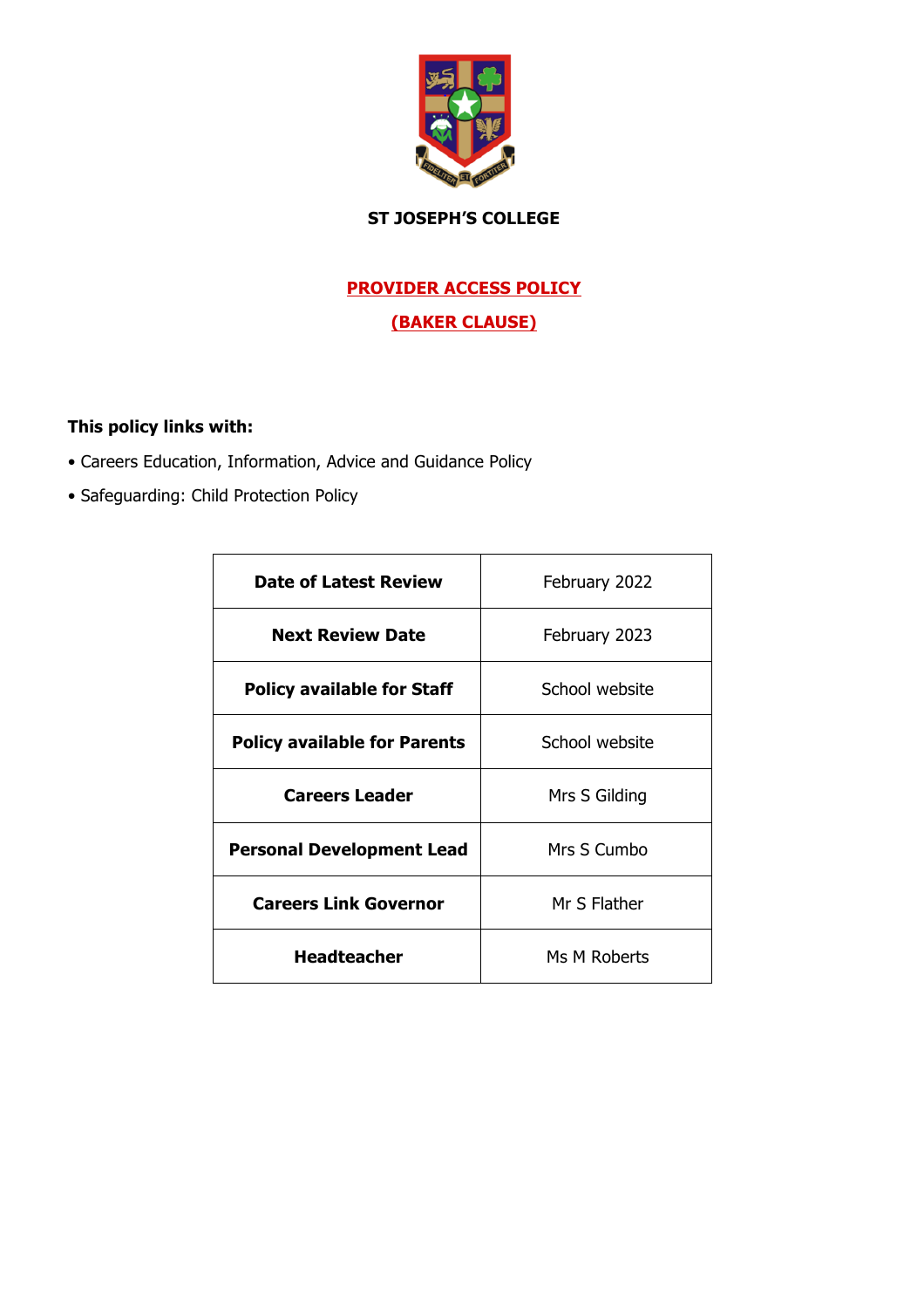

# **ST JOSEPH'S COLLEGE**

# **PROVIDER ACCESS POLICY**

## **(BAKER CLAUSE)**

## **This policy links with:**

- Careers Education, Information, Advice and Guidance Policy
- Safeguarding: Child Protection Policy

| Date of Latest Review               | February 2022  |  |
|-------------------------------------|----------------|--|
| <b>Next Review Date</b>             | February 2023  |  |
| <b>Policy available for Staff</b>   | School website |  |
| <b>Policy available for Parents</b> | School website |  |
| <b>Careers Leader</b>               | Mrs S Gilding  |  |
| <b>Personal Development Lead</b>    | Mrs S Cumbo    |  |
| <b>Careers Link Governor</b>        | Mr S Flather   |  |
| <b>Headteacher</b>                  | Ms M Roberts   |  |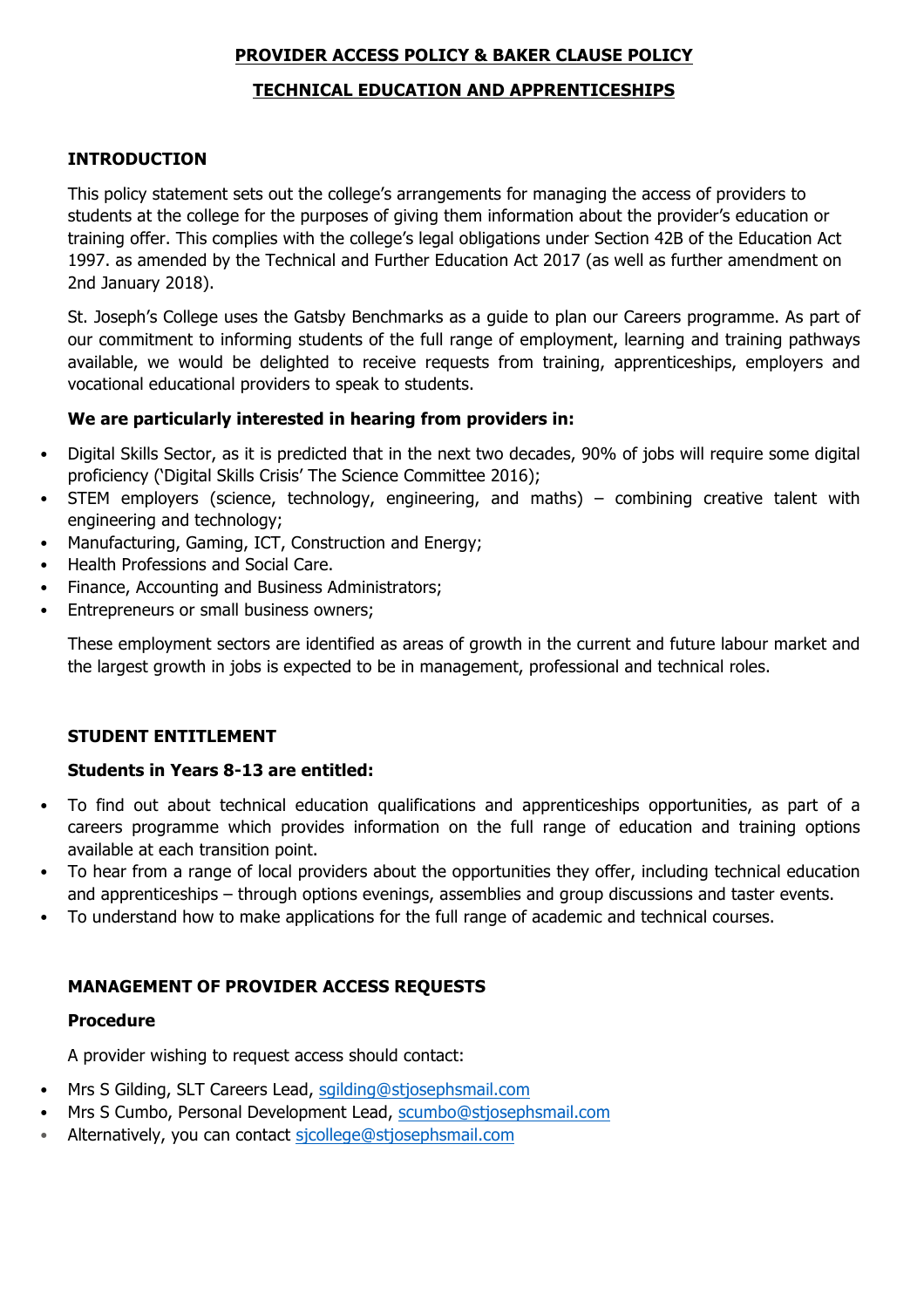### **PROVIDER ACCESS POLICY & BAKER CLAUSE POLICY**

### **TECHNICAL EDUCATION AND APPRENTICESHIPS**

### **INTRODUCTION**

This policy statement sets out the college's arrangements for managing the access of providers to students at the college for the purposes of giving them information about the provider's education or training offer. This complies with the college's legal obligations under Section 42B of the Education Act 1997. as amended by the Technical and Further Education Act 2017 (as well as further amendment on 2nd January 2018).

St. Joseph's College uses the Gatsby Benchmarks as a guide to plan our Careers programme. As part of our commitment to informing students of the full range of employment, learning and training pathways available, we would be delighted to receive requests from training, apprenticeships, employers and vocational educational providers to speak to students.

### **We are particularly interested in hearing from providers in:**

- Digital Skills Sector, as it is predicted that in the next two decades, 90% of jobs will require some digital proficiency ('Digital Skills Crisis' The Science Committee 2016);
- STEM employers (science, technology, engineering, and maths) combining creative talent with engineering and technology;
- Manufacturing, Gaming, ICT, Construction and Energy;
- Health Professions and Social Care.
- Finance, Accounting and Business Administrators;
- Entrepreneurs or small business owners;

These employment sectors are identified as areas of growth in the current and future labour market and the largest growth in jobs is expected to be in management, professional and technical roles.

### **STUDENT ENTITLEMENT**

### **Students in Years 8-13 are entitled:**

- To find out about technical education qualifications and apprenticeships opportunities, as part of a careers programme which provides information on the full range of education and training options available at each transition point.
- To hear from a range of local providers about the opportunities they offer, including technical education and apprenticeships – through options evenings, assemblies and group discussions and taster events.
- To understand how to make applications for the full range of academic and technical courses.

### **MANAGEMENT OF PROVIDER ACCESS REQUESTS**

### **Procedure**

A provider wishing to request access should contact:

- Mrs S Gilding, SLT Careers Lead, sgilding@stjosephsmail.com
- Mrs S Cumbo, Personal Development Lead, scumbo@stjosephsmail.com
- Alternatively, you can contact sjcollege@stjosephsmail.com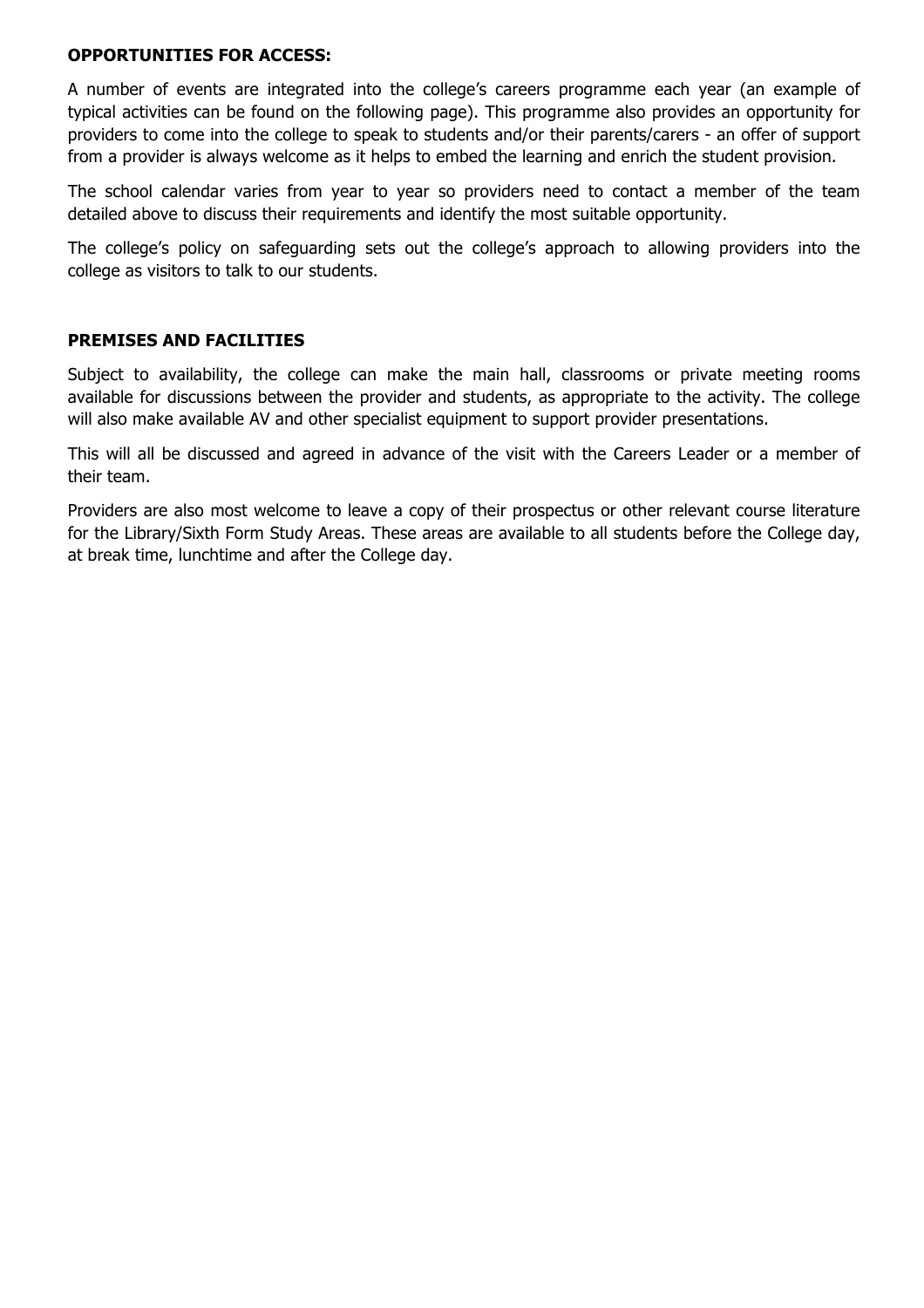#### **OPPORTUNITIES FOR ACCESS:**

A number of events are integrated into the college's careers programme each year (an example of typical activities can be found on the following page). This programme also provides an opportunity for providers to come into the college to speak to students and/or their parents/carers - an offer of support from a provider is always welcome as it helps to embed the learning and enrich the student provision.

The school calendar varies from year to year so providers need to contact a member of the team detailed above to discuss their requirements and identify the most suitable opportunity.

The college's policy on safeguarding sets out the college's approach to allowing providers into the college as visitors to talk to our students.

#### **PREMISES AND FACILITIES**

Subject to availability, the college can make the main hall, classrooms or private meeting rooms available for discussions between the provider and students, as appropriate to the activity. The college will also make available AV and other specialist equipment to support provider presentations.

This will all be discussed and agreed in advance of the visit with the Careers Leader or a member of their team.

Providers are also most welcome to leave a copy of their prospectus or other relevant course literature for the Library/Sixth Form Study Areas. These areas are available to all students before the College day, at break time, lunchtime and after the College day.